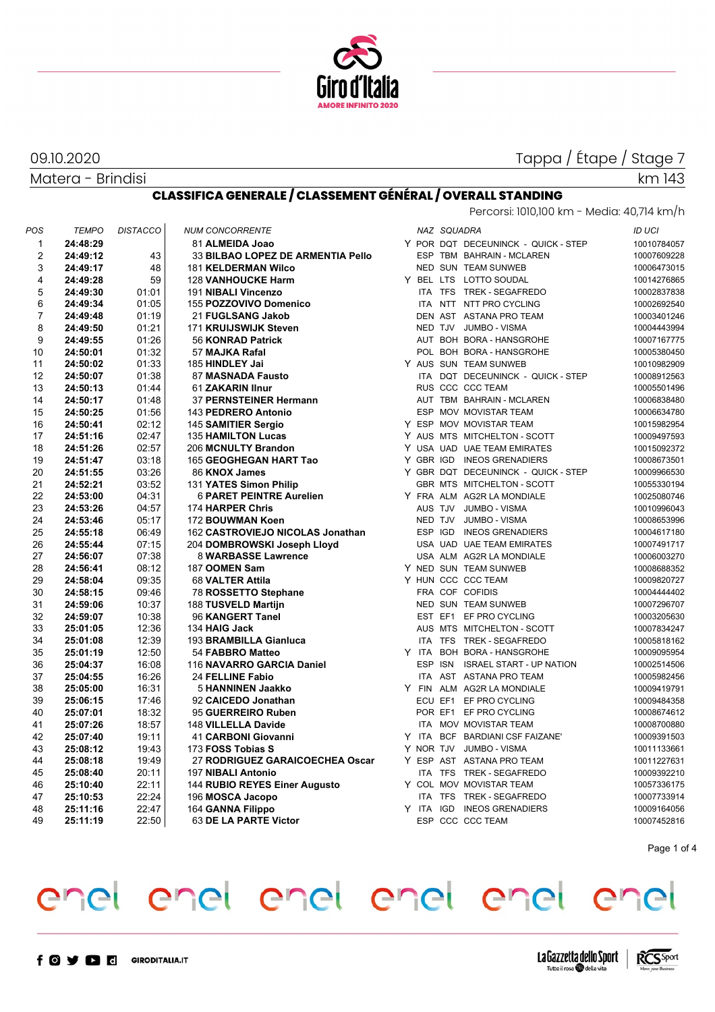

Tappa / Étape / Stage 7

km 143

Percorsi: 1010,100 km - Media: 40,714 km/h

Matera - Brindisi

#### **CLASSIFICA GENERALE / CLASSEMENT GÉNÉRAL / OVERALL STANDING**

| POS            | <b>TEMPO</b> | <b>DISTACCO</b> | <b>NUM CONCORRENTE</b>            |  | NAZ SQUADRA |                                     | <b>ID UCI</b> |
|----------------|--------------|-----------------|-----------------------------------|--|-------------|-------------------------------------|---------------|
| $\mathbf{1}$   | 24:48:29     |                 | 81 ALMEIDA Joao                   |  |             | Y POR DQT DECEUNINCK - QUICK - STEP | 10010784057   |
| 2              | 24:49:12     | 43              | 33 BILBAO LOPEZ DE ARMENTIA Pello |  |             | ESP TBM BAHRAIN - MCLAREN           | 10007609228   |
| 3              | 24:49:17     | 48              | <b>181 KELDERMAN Wilco</b>        |  |             | NED SUN TEAM SUNWEB                 | 10006473015   |
| 4              | 24:49:28     | 59              | <b>128 VANHOUCKE Harm</b>         |  |             | Y BEL LTS LOTTO SOUDAL              | 10014276865   |
| 5              | 24:49:30     | 01:01           | 191 NIBALI Vincenzo               |  |             | ITA TFS TREK - SEGAFREDO            | 10002837838   |
| 6              | 24:49:34     | 01:05           | 155 POZZOVIVO Domenico            |  |             | ITA NTT NTT PRO CYCLING             | 10002692540   |
| $\overline{7}$ | 24:49:48     | 01:19           | 21 FUGLSANG Jakob                 |  |             | DEN AST ASTANA PRO TEAM             | 10003401246   |
| 8              | 24:49:50     | 01:21           | 171 KRUIJSWIJK Steven             |  |             | NED TJV JUMBO - VISMA               | 10004443994   |
| 9              | 24:49:55     | 01:26           | 56 KONRAD Patrick                 |  |             | AUT BOH BORA - HANSGROHE            | 10007167775   |
| 10             | 24:50:01     | 01:32           | 57 MAJKA Rafal                    |  |             | POL BOH BORA - HANSGROHE            | 10005380450   |
| 11             | 24:50:02     | 01:33           | 185 HINDLEY Jai                   |  |             | Y AUS SUN TEAM SUNWEB               | 10010982909   |
| 12             | 24:50:07     | 01:38           | 87 MASNADA Fausto                 |  |             | ITA DQT DECEUNINCK - QUICK - STEP   | 10008912563   |
| 13             | 24:50:13     | 01:44           | 61 ZAKARIN IInur                  |  |             | RUS CCC CCC TEAM                    | 10005501496   |
| 14             | 24:50:17     | 01:48           | 37 PERNSTEINER Hermann            |  |             | AUT TBM BAHRAIN - MCLAREN           | 10006838480   |
| 15             | 24:50:25     | 01:56           | 143 PEDRERO Antonio               |  |             | ESP MOV MOVISTAR TEAM               | 10006634780   |
| 16             | 24:50:41     | 02:12           | 145 SAMITIER Sergio               |  |             | Y ESP MOV MOVISTAR TEAM             | 10015982954   |
| 17             | 24:51:16     | 02:47           | <b>135 HAMILTON Lucas</b>         |  |             | Y AUS MTS MITCHELTON - SCOTT        | 10009497593   |
| 18             | 24:51:26     | 02:57           | 206 MCNULTY Brandon               |  |             | Y USA UAD UAE TEAM EMIRATES         | 10015092372   |
| 19             | 24:51:47     | 03:18           | 165 GEOGHEGAN HART Tao            |  |             | Y GBR IGD INEOS GRENADIERS          | 10008673501   |
| 20             | 24:51:55     | 03:26           | 86 KNOX James                     |  |             | Y GBR DQT DECEUNINCK - QUICK - STEP | 10009966530   |
| 21             | 24:52:21     | 03:52           | 131 YATES Simon Philip            |  |             | GBR MTS MITCHELTON - SCOTT          | 10055330194   |
| 22             | 24:53:00     | 04:31           | <b>6 PARET PEINTRE Aurelien</b>   |  |             | Y FRA ALM AG2R LA MONDIALE          | 10025080746   |
| 23             | 24:53:26     | 04:57           | 174 HARPER Chris                  |  |             | AUS TJV JUMBO - VISMA               | 10010996043   |
| 24             | 24:53:46     | 05:17           | 172 BOUWMAN Koen                  |  |             | NED TJV JUMBO - VISMA               | 10008653996   |
| 25             | 24:55:18     | 06:49           | 162 CASTROVIEJO NICOLAS Jonathan  |  |             | ESP IGD INEOS GRENADIERS            | 10004617180   |
| 26             | 24:55:44     | 07:15           | 204 DOMBROWSKI Joseph Lloyd       |  |             | USA UAD UAE TEAM EMIRATES           | 10007491717   |
| 27             | 24:56:07     | 07:38           | <b>8 WARBASSE Lawrence</b>        |  |             | USA ALM AG2R LA MONDIALE            | 10006003270   |
| 28             | 24:56:41     | 08:12           | 187 OOMEN Sam                     |  |             | Y NED SUN TEAM SUNWEB               | 10008688352   |
| 29             | 24:58:04     | 09:35           | 68 VALTER Attila                  |  |             | Y HUN CCC CCC TEAM                  | 10009820727   |
| 30             | 24:58:15     | 09:46           | 78 ROSSETTO Stephane              |  |             | FRA COF COFIDIS                     | 10004444402   |
| 31             | 24:59:06     | 10:37           | 188 TUSVELD Martijn               |  |             | NED SUN TEAM SUNWEB                 | 10007296707   |
| 32             | 24:59:07     | 10:38           | 96 KANGERT Tanel                  |  |             | EST EF1 EF PRO CYCLING              | 10003205630   |
| 33             | 25:01:05     | 12:36           | 134 HAIG Jack                     |  |             | AUS MTS MITCHELTON - SCOTT          | 10007834247   |
| 34             | 25:01:08     | 12:39           | 193 BRAMBILLA Gianluca            |  |             | ITA TFS TREK - SEGAFREDO            | 10005818162   |
| 35             | 25:01:19     | 12:50           | 54 FABBRO Matteo                  |  |             | Y ITA BOH BORA - HANSGROHE          | 10009095954   |
| 36             | 25:04:37     | 16:08           | 116 NAVARRO GARCIA Daniel         |  |             | ESP ISN ISRAEL START - UP NATION    | 10002514506   |
| 37             | 25:04:55     | 16:26           | 24 FELLINE Fabio                  |  |             | ITA AST ASTANA PRO TEAM             | 10005982456   |
| 38             | 25:05:00     | 16:31           | 5 HANNINEN Jaakko                 |  |             | Y FIN ALM AG2R LA MONDIALE          | 10009419791   |
| 39             | 25:06:15     | 17:46           | 92 CAICEDO Jonathan               |  |             | ECU EF1 EF PRO CYCLING              | 10009484358   |
| 40             | 25:07:01     | 18:32           | 95 GUERREIRO Ruben                |  |             | POR EF1 EF PRO CYCLING              | 10008674612   |
| 41             | 25:07:26     | 18:57           | 148 VILLELLA Davide               |  |             | ITA MOV MOVISTAR TEAM               | 10008700880   |
| 42             | 25:07:40     | 19:11           | 41 CARBONI Giovanni               |  |             | Y ITA BCF BARDIANI CSF FAIZANE'     | 10009391503   |
| 43             | 25:08:12     | 19:43           | 173 FOSS Tobias S                 |  |             | Y NOR TJV JUMBO - VISMA             | 10011133661   |
| 44             | 25:08:18     | 19:49           | 27 RODRIGUEZ GARAICOECHEA Oscar   |  |             | Y ESP AST ASTANA PRO TEAM           | 10011227631   |
| 45             | 25:08:40     | 20:11           | 197 NIBALI Antonio                |  |             | ITA TFS TREK - SEGAFREDO            | 10009392210   |
| 46             | 25:10:40     | 22:11           | 144 RUBIO REYES Einer Augusto     |  |             | Y COL MOV MOVISTAR TEAM             | 10057336175   |
| 47             | 25:10:53     | 22:24           | 196 MOSCA Jacopo                  |  |             | ITA TFS TREK - SEGAFREDO            | 10007733914   |
| 48             | 25:11:16     | 22:47           | 164 GANNA Filippo                 |  |             | Y ITA IGD INEOS GRENADIERS          | 10009164056   |
| 49             | 25:11:19     | 22:50           | 63 DE LA PARTE Victor             |  |             | ESP CCC CCC TEAM                    | 10007452816   |
|                |              |                 |                                   |  |             |                                     |               |

Page 1 of 4

## enel enel enel enel enel enel

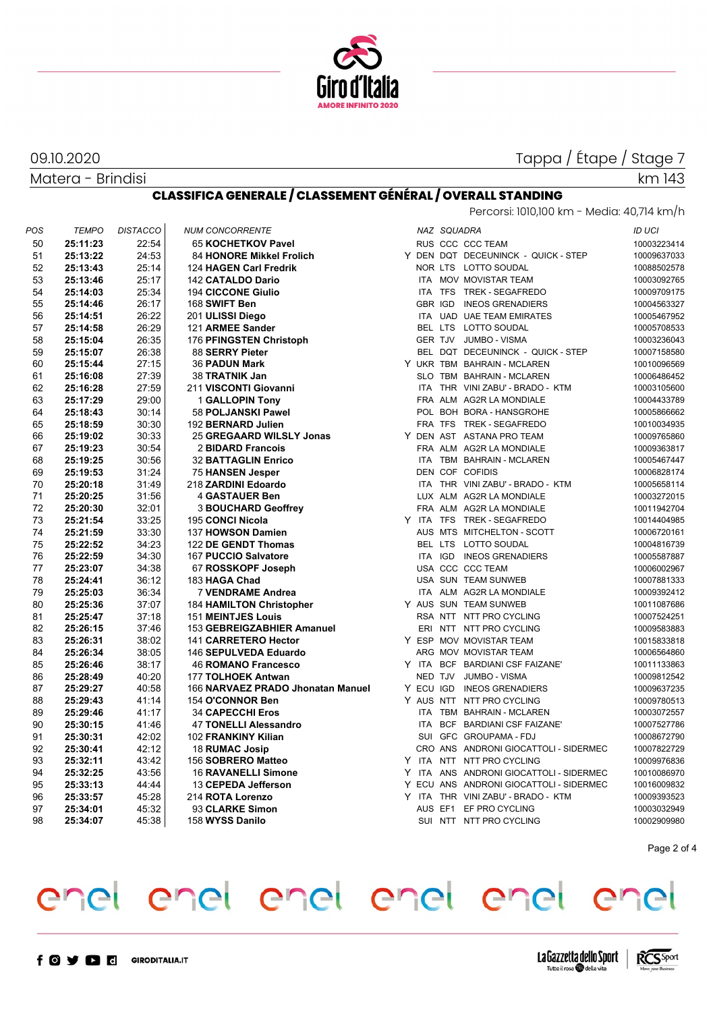

Matera - Brindisi

## Tappa / Étape / Stage 7

#### **CLASSIFICA GENERALE / CLASSEMENT GÉNÉRAL / OVERALL STANDING** Percorsi: 1010,100 km - Media: 40,714 km/h

| POS | <b>TEMPO</b> | <b>DISTACCO</b> | <b>NUM CONCORRENTE</b>            |  | NAZ SQUADRA |                                         | <b>ID UCI</b> |
|-----|--------------|-----------------|-----------------------------------|--|-------------|-----------------------------------------|---------------|
| 50  | 25:11:23     | 22:54           | 65 KOCHETKOV Pavel                |  |             | RUS CCC CCC TEAM                        | 10003223414   |
| 51  | 25:13:22     | 24:53           | 84 HONORE Mikkel Frolich          |  |             | Y DEN DQT DECEUNINCK - QUICK - STEP     | 10009637033   |
| 52  | 25:13:43     | 25:14           | 124 HAGEN Carl Fredrik            |  |             | NOR LTS LOTTO SOUDAL                    | 10088502578   |
| 53  | 25:13:46     | 25:17           | 142 CATALDO Dario                 |  |             | ITA MOV MOVISTAR TEAM                   | 10003092765   |
| 54  | 25:14:03     | 25:34           | <b>194 CICCONE Giulio</b>         |  |             | ITA TFS TREK - SEGAFREDO                | 10009709175   |
| 55  | 25:14:46     | 26:17           | 168 SWIFT Ben                     |  |             | GBR IGD INEOS GRENADIERS                | 10004563327   |
| 56  | 25:14:51     | 26:22           | 201 ULISSI Diego                  |  |             | ITA UAD UAE TEAM EMIRATES               | 10005467952   |
| 57  | 25:14:58     | 26:29           | 121 ARMEE Sander                  |  |             | BEL LTS LOTTO SOUDAL                    | 10005708533   |
| 58  | 25:15:04     | 26:35           | 176 PFINGSTEN Christoph           |  |             | GER TJV JUMBO - VISMA                   | 10003236043   |
| 59  | 25:15:07     | 26:38           | 88 SERRY Pieter                   |  |             | BEL DQT DECEUNINCK - QUICK - STEP       | 10007158580   |
| 60  | 25:15:44     | 27:15           | <b>36 PADUN Mark</b>              |  |             | Y UKR TBM BAHRAIN - MCLAREN             | 10010096569   |
| 61  | 25:16:08     | 27:39           | 38 TRATNIK Jan                    |  |             | SLO TBM BAHRAIN - MCLAREN               | 10006486452   |
| 62  | 25:16:28     | 27:59           | 211 VISCONTI Giovanni             |  |             | ITA THR VINI ZABU' - BRADO - KTM        | 10003105600   |
| 63  | 25:17:29     | 29:00           | <b>1 GALLOPIN Tony</b>            |  |             | FRA ALM AG2R LA MONDIALE                | 10004433789   |
| 64  | 25:18:43     | 30:14           | 58 POLJANSKI Pawel                |  |             | POL BOH BORA - HANSGROHE                | 10005866662   |
| 65  | 25:18:59     | 30:30           | 192 BERNARD Julien                |  |             | FRA TFS TREK - SEGAFREDO                | 10010034935   |
| 66  | 25:19:02     | 30:33           | 25 GREGAARD WILSLY Jonas          |  |             | Y DEN AST ASTANA PRO TEAM               | 10009765860   |
| 67  | 25:19:23     | 30:54           | 2 BIDARD Francois                 |  |             | FRA ALM AG2R LA MONDIALE                | 10009363817   |
| 68  | 25:19:25     | 30:56           | <b>32 BATTAGLIN Enrico</b>        |  |             | ITA TBM BAHRAIN - MCLAREN               | 10005467447   |
| 69  | 25:19:53     | 31:24           | <b>75 HANSEN Jesper</b>           |  |             | DEN COF COFIDIS                         | 10006828174   |
| 70  | 25:20:18     | 31:49           | 218 ZARDINI Edoardo               |  |             | ITA THR VINI ZABU' - BRADO - KTM        | 10005658114   |
| 71  | 25:20:25     | 31:56           | 4 GASTAUER Ben                    |  |             | LUX ALM AG2R LA MONDIALE                | 10003272015   |
| 72  | 25:20:30     | 32:01           | <b>3 BOUCHARD Geoffrey</b>        |  |             | FRA ALM AG2R LA MONDIALE                | 10011942704   |
| 73  | 25:21:54     | 33:25           | <b>195 CONCI Nicola</b>           |  |             | Y ITA TFS TREK-SEGAFREDO                | 10014404985   |
| 74  | 25:21:59     | 33:30           | 137 HOWSON Damien                 |  |             | AUS MTS MITCHELTON - SCOTT              | 10006720161   |
| 75  | 25:22:52     | 34:23           | 122 DE GENDT Thomas               |  |             | BEL LTS LOTTO SOUDAL                    | 10004816739   |
| 76  | 25:22:59     | 34:30           | 167 PUCCIO Salvatore              |  |             | ITA IGD INEOS GRENADIERS                | 10005587887   |
| 77  | 25:23:07     | 34:38           | 67 ROSSKOPF Joseph                |  |             | USA CCC CCC TEAM                        | 10006002967   |
| 78  | 25:24:41     | 36:12           | 183 HAGA Chad                     |  |             | USA SUN TEAM SUNWEB                     | 10007881333   |
| 79  | 25:25:03     | 36:34           | <b>7 VENDRAME Andrea</b>          |  |             | ITA ALM AG2R LA MONDIALE                | 10009392412   |
| 80  | 25:25:36     | 37:07           | <b>184 HAMILTON Christopher</b>   |  |             | Y AUS SUN TEAM SUNWEB                   | 10011087686   |
| 81  | 25:25:47     | 37:18           | <b>151 MEINTJES Louis</b>         |  |             | RSA NTT NTT PRO CYCLING                 | 10007524251   |
| 82  | 25:26:15     | 37:46           | 153 GEBREIGZABHIER Amanuel        |  |             | ERI NTT NTT PRO CYCLING                 | 10009583883   |
| 83  | 25:26:31     | 38:02           | 141 CARRETERO Hector              |  |             | Y ESP MOV MOVISTAR TEAM                 | 10015833818   |
| 84  | 25:26:34     | 38:05           | 146 SEPULVEDA Eduardo             |  |             | ARG MOV MOVISTAR TEAM                   | 10006564860   |
| 85  | 25:26:46     | 38:17           | <b>46 ROMANO Francesco</b>        |  |             | Y ITA BCF BARDIANI CSF FAIZANE'         | 10011133863   |
| 86  | 25:28:49     | 40:20           | 177 TOLHOEK Antwan                |  |             | NED TJV JUMBO - VISMA                   | 10009812542   |
| 87  | 25:29:27     | 40:58           | 166 NARVAEZ PRADO Jhonatan Manuel |  |             | Y ECU IGD INEOS GRENADIERS              | 10009637235   |
| 88  | 25:29:43     | 41:14           | 154 O'CONNOR Ben                  |  |             | Y AUS NTT NTT PRO CYCLING               | 10009780513   |
| 89  | 25:29:46     | 41:17           | <b>34 CAPECCHI Eros</b>           |  |             | ITA TBM BAHRAIN - MCLAREN               | 10003072557   |
| 90  | 25:30:15     | 41:46           | <b>47 TONELLI Alessandro</b>      |  |             | ITA BCF BARDIANI CSF FAIZANE'           | 10007527786   |
| 91  | 25:30:31     | 42:02           | 102 FRANKINY Kilian               |  |             | SUI GFC GROUPAMA - FDJ                  | 10008672790   |
| 92  | 25:30:41     | 42:12           | 18 RUMAC Josip                    |  |             | CRO ANS ANDRONI GIOCATTOLI - SIDERMEC   | 10007822729   |
| 93  | 25:32:11     | 43:42           | 156 SOBRERO Matteo                |  |             | Y ITA NTT NTT PRO CYCLING               | 10009976836   |
| 94  | 25:32:25     | 43:56           | <b>16 RAVANELLI Simone</b>        |  |             | Y ITA ANS ANDRONI GIOCATTOLI - SIDERMEC | 10010086970   |
| 95  | 25:33:13     | 44:44           | 13 CEPEDA Jefferson               |  |             | Y ECU ANS ANDRONI GIOCATTOLI - SIDERMEC | 10016009832   |
| 96  | 25:33:57     | 45:28           | 214 ROTA Lorenzo                  |  |             | Y ITA THR VINI ZABU' - BRADO - KTM      | 10009393523   |
| 97  | 25:34:01     | 45:32           | 93 CLARKE Simon                   |  |             | AUS EF1 EF PRO CYCLING                  | 10003032949   |
|     |              |                 |                                   |  |             |                                         |               |
| 98  | 25:34:07     | 45:38           | 158 WYSS Danilo                   |  |             | SUI NTT NTT PRO CYCLING                 | 10002909980   |

Page 2 of 4

## enel enel enel enel enel enel



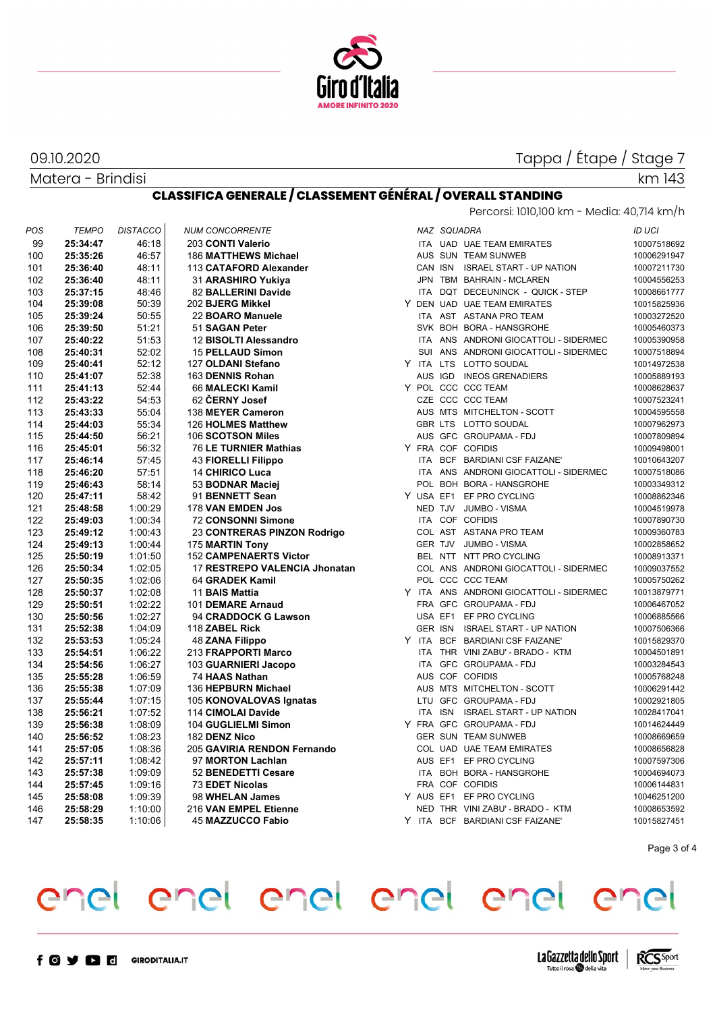

Matera - Brindisi

### Tappa / Étape / Stage 7

Percorsi: 1010,100 km - Media: 40,714 km/h

km 143

#### **CLASSIFICA GENERALE / CLASSEMENT GÉNÉRAL / OVERALL STANDING**

| POS | <b>TEMPO</b> | <b>DISTACCO</b> | <b>NUM CONCORRENTE</b>        |  | NAZ SQUADRA |                                         | <b>ID UCI</b> |
|-----|--------------|-----------------|-------------------------------|--|-------------|-----------------------------------------|---------------|
| 99  | 25:34:47     | 46:18           | 203 CONTI Valerio             |  |             | ITA UAD UAE TEAM EMIRATES               | 10007518692   |
| 100 | 25:35:26     | 46:57           | <b>186 MATTHEWS Michael</b>   |  |             | AUS SUN TEAM SUNWEB                     | 10006291947   |
| 101 | 25:36:40     | 48:11           | 113 CATAFORD Alexander        |  |             | CAN ISN ISRAEL START - UP NATION        | 10007211730   |
| 102 | 25:36:40     | 48:11           | 31 ARASHIRO Yukiya            |  |             | JPN TBM BAHRAIN - MCLAREN               | 10004556253   |
| 103 | 25:37:15     | 48:46           | 82 BALLERINI Davide           |  |             | ITA DQT DECEUNINCK - QUICK - STEP       | 10008661777   |
| 104 | 25:39:08     | 50:39           | 202 BJERG Mikkel              |  |             | Y DEN UAD UAE TEAM EMIRATES             | 10015825936   |
| 105 | 25:39:24     | 50:55           | 22 BOARO Manuele              |  |             | ITA AST ASTANA PRO TEAM                 | 10003272520   |
| 106 | 25:39:50     | 51:21           | 51 SAGAN Peter                |  |             | SVK BOH BORA - HANSGROHE                | 10005460373   |
| 107 | 25:40:22     | 51:53           | 12 BISOLTI Alessandro         |  |             | ITA ANS ANDRONI GIOCATTOLI - SIDERMEC   | 10005390958   |
| 108 | 25:40:31     | 52:02           | <b>15 PELLAUD Simon</b>       |  |             | SUI ANS ANDRONI GIOCATTOLI - SIDERMEC   | 10007518894   |
| 109 | 25:40:41     | 52:12           | 127 OLDANI Stefano            |  |             | Y ITA LTS LOTTO SOUDAL                  | 10014972538   |
| 110 | 25:41:07     | 52:38           | 163 DENNIS Rohan              |  |             | AUS IGD INEOS GRENADIERS                | 10005889193   |
| 111 | 25:41:13     | 52:44           | 66 MALECKI Kamil              |  |             | Y POL CCC CCC TEAM                      | 10008628637   |
| 112 | 25:43:22     | 54:53           | 62 ČERNY Josef                |  |             | CZE CCC CCC TEAM                        | 10007523241   |
| 113 | 25:43:33     | 55:04           | 138 MEYER Cameron             |  |             | AUS MTS MITCHELTON - SCOTT              | 10004595558   |
| 114 | 25:44:03     | 55:34           | 126 HOLMES Matthew            |  |             | GBR LTS LOTTO SOUDAL                    | 10007962973   |
| 115 | 25:44:50     | 56:21           | 106 SCOTSON Miles             |  |             | AUS GFC GROUPAMA - FDJ                  | 10007809894   |
| 116 | 25:45:01     | 56:32           | 76 LE TURNIER Mathias         |  |             | Y FRA COF COFIDIS                       | 10009498001   |
| 117 | 25:46:14     | 57:45           | 43 FIORELLI Filippo           |  |             | ITA BCF BARDIANI CSF FAIZANE'           | 10010643207   |
| 118 | 25:46:20     | 57:51           | <b>14 CHIRICO Luca</b>        |  |             | ITA ANS ANDRONI GIOCATTOLI - SIDERMEC   | 10007518086   |
| 119 | 25:46:43     | 58:14           | 53 BODNAR Maciej              |  |             | POL BOH BORA - HANSGROHE                | 10003349312   |
| 120 | 25:47:11     | 58:42           | 91 BENNETT Sean               |  |             | Y USA EF1 EF PRO CYCLING                | 10008862346   |
| 121 | 25:48:58     | 1:00:29         | 178 VAN EMDEN Jos             |  |             | NED TJV JUMBO - VISMA                   | 10004519978   |
| 122 | 25:49:03     | 1:00:34         | <b>72 CONSONNI Simone</b>     |  |             | ITA COF COFIDIS                         | 10007890730   |
| 123 | 25:49:12     | 1:00:43         | 23 CONTRERAS PINZON Rodrigo   |  |             | COL AST ASTANA PRO TEAM                 | 10009360783   |
| 124 | 25:49:13     | 1:00:44         | 175 MARTIN Tony               |  |             | GER TJV JUMBO - VISMA                   | 10002858652   |
| 125 | 25:50:19     | 1:01:50         | <b>152 CAMPENAERTS Victor</b> |  |             | BEL NTT NTT PRO CYCLING                 | 10008913371   |
| 126 | 25:50:34     | 1:02:05         | 17 RESTREPO VALENCIA Jhonatan |  |             | COL ANS ANDRONI GIOCATTOLI - SIDERMEC   | 10009037552   |
| 127 | 25:50:35     | 1:02:06         | 64 GRADEK Kamil               |  |             | POL CCC CCC TEAM                        | 10005750262   |
| 128 | 25:50:37     | 1:02:08         | 11 BAIS Mattia                |  |             | Y ITA ANS ANDRONI GIOCATTOLI - SIDERMEC | 10013879771   |
| 129 | 25:50:51     | 1:02:22         | 101 DEMARE Arnaud             |  |             | FRA GFC GROUPAMA - FDJ                  | 10006467052   |
| 130 | 25:50:56     | 1:02:27         | 94 CRADDOCK G Lawson          |  |             | USA EF1 EF PRO CYCLING                  | 10006885566   |
| 131 | 25:52:38     | 1:04:09         | 118 ZABEL Rick                |  |             | GER ISN ISRAEL START - UP NATION        | 10007506366   |
| 132 | 25:53:53     | 1:05.24         | <b>48 ZANA Filippo</b>        |  |             | Y ITA BCF BARDIANI CSF FAIZANE'         | 10015829370   |
| 133 | 25:54:51     | 1:06:22         | 213 FRAPPORTI Marco           |  |             | ITA THR VINI ZABU' - BRADO - KTM        | 10004501891   |
| 134 | 25:54:56     | 1:06:27         | 103 GUARNIERI Jacopo          |  |             | ITA GFC GROUPAMA - FDJ                  | 10003284543   |
| 135 | 25:55:28     | 1:06:59         | 74 HAAS Nathan                |  |             | AUS COF COFIDIS                         | 10005768248   |
| 136 | 25:55:38     | 1:07:09         | 136 HEPBURN Michael           |  |             | AUS MTS MITCHELTON - SCOTT              | 10006291442   |
| 137 | 25:55:44     | 1:07:15         | 105 KONOVALOVAS Ignatas       |  |             | LTU GFC GROUPAMA - FDJ                  | 10002921805   |
| 138 | 25:56:21     | 1:07:52         | 114 CIMOLAI Davide            |  |             | ITA ISN ISRAEL START - UP NATION        | 10028417041   |
| 139 | 25:56:38     | 1:08:09         | 104 GUGLIELMI Simon           |  |             | Y FRA GFC GROUPAMA-FDJ                  | 10014624449   |
| 140 | 25:56:52     | 1:08:23         | 182 DENZ Nico                 |  |             | <b>GER SUN TEAM SUNWEB</b>              | 10008669659   |
| 141 | 25:57:05     | 1:08:36         | 205 GAVIRIA RENDON Fernando   |  |             | COL UAD UAE TEAM EMIRATES               | 10008656828   |
| 142 | 25:57:11     | 1:08:42         | 97 MORTON Lachlan             |  |             | AUS EF1 EF PRO CYCLING                  | 10007597306   |
| 143 | 25:57:38     | 1:09:09         | 52 BENEDETTI Cesare           |  |             | ITA BOH BORA - HANSGROHE                | 10004694073   |
| 144 | 25:57:45     | 1:09:16         | 73 EDET Nicolas               |  |             | FRA COF COFIDIS                         | 10006144831   |
| 145 | 25:58:08     | 1:09:39         | 98 WHELAN James               |  |             | Y AUS EF1 EF PRO CYCLING                | 10046251200   |
| 146 | 25:58:29     | 1:10:00         | 216 VAN EMPEL Etienne         |  |             | NED THR VINI ZABU' - BRADO - KTM        | 10008653592   |
| 147 | 25:58:35     | 1:10:06         | <b>45 MAZZUCCO Fabio</b>      |  |             | Y ITA BCF BARDIANI CSF FAIZANE'         | 10015827451   |
|     |              |                 |                               |  |             |                                         |               |

Page 3 of 4

### enel enel enel enel enel enel